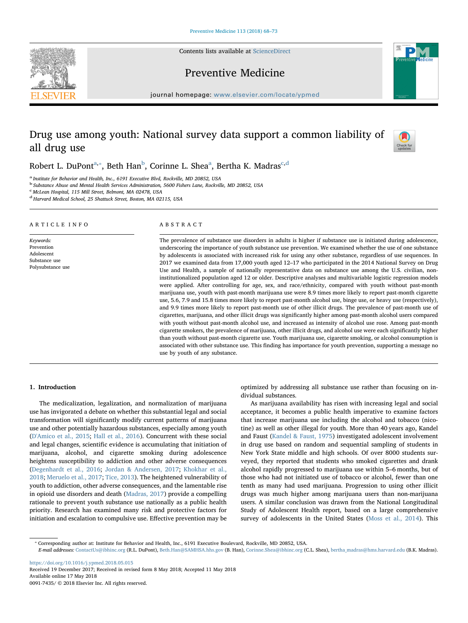Contents lists available at [ScienceDirect](http://www.sciencedirect.com/science/journal/00917435)





Preventive Medicine

journal homepage: [www.elsevier.com/locate/ypmed](https://www.elsevier.com/locate/ypmed)

# Drug use among youth: National survey data support a common liability of all drug use



Ro[b](#page-0-2)ert L. DuPont $\text{a}^*,$  $\text{a}^*,$  $\text{a}^*,$  Beth Han $\text{b}$ , Corinne L. Shea $\text{a}$ , Bertha K. Ma[d](#page-0-4)ras $\text{c},\text{d}$  $\text{c},\text{d}$  $\text{c},\text{d}$ 

<span id="page-0-0"></span><sup>a</sup> Institute for Behavior and Health, Inc., 6191 Executive Blvd, Rockville, MD 20852, USA

<span id="page-0-2"></span><sup>b</sup> Substance Abuse and Mental Health Services Administration, 5600 Fishers Lane, Rockville, MD 20852, USA

<span id="page-0-3"></span><sup>c</sup> McLean Hospital, 115 Mill Street, Belmont, MA 02478, USA

<span id="page-0-4"></span><sup>d</sup> Harvard Medical School, 25 Shattuck Street, Boston, MA 02115, USA

#### ARTICLE INFO

Keywords: Prevention Adolescent Substance use Polysubstance use ABSTRACT

The prevalence of substance use disorders in adults is higher if substance use is initiated during adolescence, underscoring the importance of youth substance use prevention. We examined whether the use of one substance by adolescents is associated with increased risk for using any other substance, regardless of use sequences. In 2017 we examined data from 17,000 youth aged 12–17 who participated in the 2014 National Survey on Drug Use and Health, a sample of nationally representative data on substance use among the U.S. civilian, noninstitutionalized population aged 12 or older. Descriptive analyses and multivariable logistic regression models were applied. After controlling for age, sex, and race/ethnicity, compared with youth without past-month marijuana use, youth with past-month marijuana use were 8.9 times more likely to report past-month cigarette use, 5.6, 7.9 and 15.8 times more likely to report past-month alcohol use, binge use, or heavy use (respectively), and 9.9 times more likely to report past-month use of other illicit drugs. The prevalence of past-month use of cigarettes, marijuana, and other illicit drugs was significantly higher among past-month alcohol users compared with youth without past-month alcohol use, and increased as intensity of alcohol use rose. Among past-month cigarette smokers, the prevalence of marijuana, other illicit drugs, and alcohol use were each significantly higher than youth without past-month cigarette use. Youth marijuana use, cigarette smoking, or alcohol consumption is associated with other substance use. This finding has importance for youth prevention, supporting a message no use by youth of any substance.

### 1. Introduction

The medicalization, legalization, and normalization of marijuana use has invigorated a debate on whether this substantial legal and social transformation will significantly modify current patterns of marijuana use and other potentially hazardous substances, especially among youth ([D'Amico et al., 2015](#page-5-0); [Hall et al., 2016](#page-5-1)). Concurrent with these social and legal changes, scientific evidence is accumulating that initiation of marijuana, alcohol, and cigarette smoking during adolescence heightens susceptibility to addiction and other adverse consequences ([Degenhardt et al., 2016](#page-5-2); [Jordan & Andersen, 2017;](#page-5-3) [Khokhar et al.,](#page-5-4) [2018;](#page-5-4) [Meruelo et al., 2017](#page-5-5); [Tice, 2013](#page-5-6)). The heightened vulnerability of youth to addiction, other adverse consequences, and the lamentable rise in opioid use disorders and death [\(Madras, 2017\)](#page-5-7) provide a compelling rationale to prevent youth substance use nationally as a public health priority. Research has examined many risk and protective factors for initiation and escalation to compulsive use. Effective prevention may be optimized by addressing all substance use rather than focusing on individual substances.

As marijuana availability has risen with increasing legal and social acceptance, it becomes a public health imperative to examine factors that increase marijuana use including the alcohol and tobacco (nicotine) as well as other illegal for youth. More than 40 years ago, Kandel and Faust ([Kandel & Faust, 1975](#page-5-8)) investigated adolescent involvement in drug use based on random and sequential sampling of students in New York State middle and high schools. Of over 8000 students surveyed, they reported that students who smoked cigarettes and drank alcohol rapidly progressed to marijuana use within 5–6 months, but of those who had not initiated use of tobacco or alcohol, fewer than one tenth as many had used marijuana. Progression to using other illicit drugs was much higher among marijuana users than non-marijuana users. A similar conclusion was drawn from the National Longitudinal Study of Adolescent Health report, based on a large comprehensive survey of adolescents in the United States [\(Moss et al., 2014\)](#page-5-9). This

<span id="page-0-1"></span>⁎ Corresponding author at: Institute for Behavior and Health, Inc., 6191 Executive Boulevard, Rockville, MD 20852, USA.

E-mail addresses: [ContactUs@ibhinc.org](mailto:ContactUs@ibhinc.org) (R.L. DuPont), [Beth.Han@SAMHSA.hhs.gov](mailto:Beth.Han@SAMHSA.hhs.gov) (B. Han), [Corinne.Shea@ibhinc.org](mailto:Corinne.Shea@ibhinc.org) (C.L. Shea), [bertha\\_madras@hms.harvard.edu](mailto:bertha_madras@hms.harvard.edu) (B.K. Madras).

<https://doi.org/10.1016/j.ypmed.2018.05.015> Received 19 December 2017; Received in revised form 8 May 2018; Accepted 11 May 2018 Available online 17 May 2018

0091-7435/ © 2018 Elsevier Inc. All rights reserved.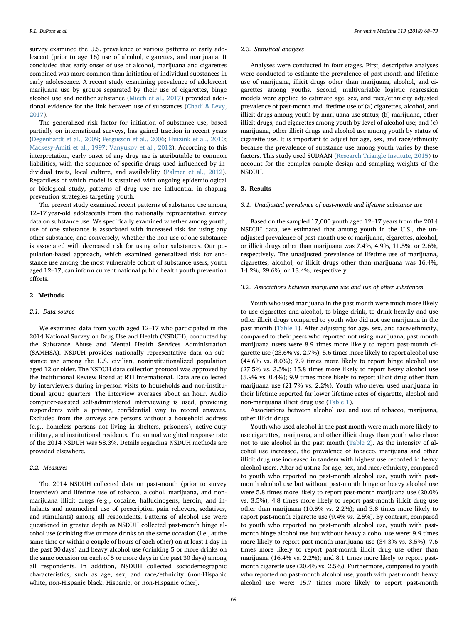survey examined the U.S. prevalence of various patterns of early adolescent (prior to age 16) use of alcohol, cigarettes, and marijuana. It concluded that early onset of use of alcohol, marijuana and cigarettes combined was more common than initiation of individual substances in early adolescence. A recent study examining prevalence of adolescent marijuana use by groups separated by their use of cigarettes, binge alcohol use and neither substance ([Miech et al., 2017](#page-5-10)) provided additional evidence for the link between use of substances [\(Chadi & Levy,](#page-5-11) [2017\)](#page-5-11).

The generalized risk factor for initiation of substance use, based partially on international surveys, has gained traction in recent years ([Degenhardt et al., 2009;](#page-5-12) [Fergusson et al., 2006;](#page-5-13) [Huizink et al., 2010](#page-5-14); [Mackesy-Amiti et al., 1997](#page-5-15); [Vanyukov et al., 2012](#page-5-16)). According to this interpretation, early onset of any drug use is attributable to common liabilities, with the sequence of specific drugs used influenced by individual traits, local culture, and availability ([Palmer et al., 2012](#page-5-17)). Regardless of which model is sustained with ongoing epidemiological or biological study, patterns of drug use are influential in shaping prevention strategies targeting youth.

The present study examined recent patterns of substance use among 12–17 year-old adolescents from the nationally representative survey data on substance use. We specifically examined whether among youth, use of one substance is associated with increased risk for using any other substance, and conversely, whether the non-use of one substance is associated with decreased risk for using other substances. Our population-based approach, which examined generalized risk for substance use among the most vulnerable cohort of substance users, youth aged 12–17, can inform current national public health youth prevention efforts.

## 2. Methods

#### 2.1. Data source

We examined data from youth aged 12–17 who participated in the 2014 National Survey on Drug Use and Health (NSDUH), conducted by the Substance Abuse and Mental Health Services Administration (SAMHSA). NSDUH provides nationally representative data on substance use among the U.S. civilian, noninstitutionalized population aged 12 or older. The NSDUH data collection protocol was approved by the Institutional Review Board at RTI International. Data are collected by interviewers during in-person visits to households and non-institutional group quarters. The interview averages about an hour. Audio computer-assisted self-administered interviewing is used, providing respondents with a private, confidential way to record answers. Excluded from the surveys are persons without a household address (e.g., homeless persons not living in shelters, prisoners), active-duty military, and institutional residents. The annual weighted response rate of the 2014 NSDUH was 58.3%. Details regarding NSDUH methods are provided elsewhere.

## 2.2. Measures

The 2014 NSDUH collected data on past-month (prior to survey interview) and lifetime use of tobacco, alcohol, marijuana, and nonmarijuana illicit drugs (e.g., cocaine, hallucinogens, heroin, and inhalants and nonmedical use of prescription pain relievers, sedatives, and stimulants) among all respondents. Patterns of alcohol use were questioned in greater depth as NSDUH collected past-month binge alcohol use (drinking five or more drinks on the same occasion (i.e., at the same time or within a couple of hours of each other) on at least 1 day in the past 30 days) and heavy alcohol use (drinking 5 or more drinks on the same occasion on each of 5 or more days in the past 30 days) among all respondents. In addition, NSDUH collected sociodemographic characteristics, such as age, sex, and race/ethnicity (non-Hispanic white, non-Hispanic black, Hispanic, or non-Hispanic other).

#### 2.3. Statistical analyses

Analyses were conducted in four stages. First, descriptive analyses were conducted to estimate the prevalence of past-month and lifetime use of marijuana, illicit drugs other than marijuana, alcohol, and cigarettes among youths. Second, multivariable logistic regression models were applied to estimate age, sex, and race/ethnicity adjusted prevalence of past-month and lifetime use of (a) cigarettes, alcohol, and illicit drugs among youth by marijuana use status; (b) marijuana, other illicit drugs, and cigarettes among youth by level of alcohol use; and (c) marijuana, other illicit drugs and alcohol use among youth by status of cigarette use. It is important to adjust for age, sex, and race/ethnicity because the prevalence of substance use among youth varies by these factors. This study used SUDAAN [\(Research Triangle Institute, 2015](#page-5-18)) to account for the complex sample design and sampling weights of the NSDUH.

## 3. Results

#### 3.1. Unadjusted prevalence of past-month and lifetime substance use

Based on the sampled 17,000 youth aged 12–17 years from the 2014 NSDUH data, we estimated that among youth in the U.S., the unadjusted prevalence of past-month use of marijuana, cigarettes, alcohol, or illicit drugs other than marijuana was 7.4%, 4.9%, 11.5%, or 2.6%, respectively. The unadjusted prevalence of lifetime use of marijuana, cigarettes, alcohol, or illicit drugs other than marijuana was 16.4%, 14.2%, 29.6%, or 13.4%, respectively.

## 3.2. Associations between marijuana use and use of other substances

Youth who used marijuana in the past month were much more likely to use cigarettes and alcohol, to binge drink, to drink heavily and use other illicit drugs compared to youth who did not use marijuana in the past month ([Table 1](#page-2-0)). After adjusting for age, sex, and race/ethnicity, compared to their peers who reported not using marijuana, past month marijuana users were 8.9 times more likely to report past-month cigarette use (23.6% vs. 2.7%); 5.6 times more likely to report alcohol use (44.6% vs. 8.0%); 7.9 times more likely to report binge alcohol use (27.5% vs. 3.5%); 15.8 times more likely to report heavy alcohol use (5.9% vs. 0.4%); 9.9 times more likely to report illicit drug other than marijuana use (21.7% vs. 2.2%). Youth who never used marijuana in their lifetime reported far lower lifetime rates of cigarette, alcohol and non-marijuana illicit drug use [\(Table 1](#page-2-0)).

Associations between alcohol use and use of tobacco, marijuana, other illicit drugs

Youth who used alcohol in the past month were much more likely to use cigarettes, marijuana, and other illicit drugs than youth who chose not to use alcohol in the past month ([Table 2\)](#page-3-0). As the intensity of alcohol use increased, the prevalence of tobacco, marijuana and other illicit drug use increased in tandem with highest use recorded in heavy alcohol users. After adjusting for age, sex, and race/ethnicity, compared to youth who reported no past-month alcohol use, youth with pastmonth alcohol use but without past-month binge or heavy alcohol use were 5.8 times more likely to report past-month marijuana use (20.0% vs. 3.5%); 4.8 times more likely to report past-month illicit drug use other than marijuana (10.5% vs. 2.2%); and 3.8 times more likely to report past-month cigarette use (9.4% vs. 2.5%). By contrast, compared to youth who reported no past-month alcohol use, youth with pastmonth binge alcohol use but without heavy alcohol use were: 9.9 times more likely to report past-month marijuana use (34.3% vs. 3.5%); 7.6 times more likely to report past-month illicit drug use other than marijuana (16.4% vs. 2.2%); and 8.1 times more likely to report pastmonth cigarette use (20.4% vs. 2.5%). Furthermore, compared to youth who reported no past-month alcohol use, youth with past-month heavy alcohol use were: 15.7 times more likely to report past-month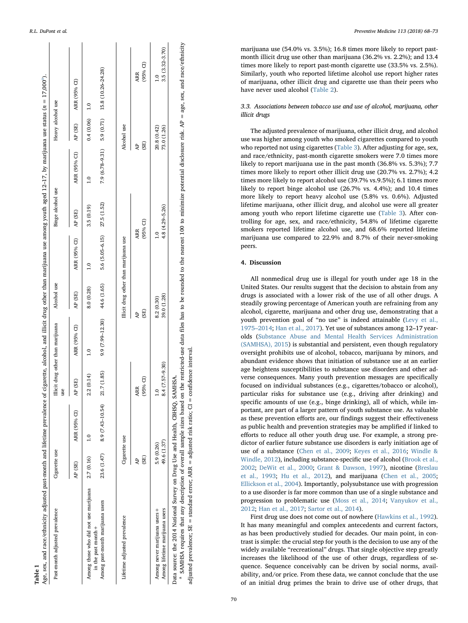Table 1

<span id="page-2-0"></span>

| Past-month adjusted prevalence                                                                                                                                                                                                                                                                                | Cigarette use             |                  | use                              | Illicit drug other than marijuana | Alcohol use              |                                       | Binge alcohol use |               | Heavy alcohol use          |                                               |
|---------------------------------------------------------------------------------------------------------------------------------------------------------------------------------------------------------------------------------------------------------------------------------------------------------------|---------------------------|------------------|----------------------------------|-----------------------------------|--------------------------|---------------------------------------|-------------------|---------------|----------------------------|-----------------------------------------------|
|                                                                                                                                                                                                                                                                                                               | AP (SE)                   | ARR (95% CI)     | AP (SE)                          | ARR (95% CI)                      | AP (SE)                  | ARR (95% CI)                          | AP (SE)           | ARR (95% CI)  | AP (SE)                    | ARR (95% CI)                                  |
| Among those who did not use marijuana                                                                                                                                                                                                                                                                         | 2.7 (0.16)                |                  | 2.2(0.14)                        | $\frac{1}{1}$                     | 8.0(0.28)                | $\frac{1}{1}$                         | 3.5(0.19)         | $\frac{0}{1}$ | 0.4(0.06)                  | $\frac{1}{10}$                                |
| Among past-month marijuana users<br>in the past month +                                                                                                                                                                                                                                                       | 23.6 (1.47)               | 8.9 (7.43-10.54) | 21.7 (1.85)                      | 9.9 (7.99-12.30)                  | 44.6 (1.65)              | 5.6 (5.05-6.15) 27.5 (1.52)           |                   |               |                            | 7.9 (6.78-9.31) 5.9 (0.71) 15.8 (10.26-24.28) |
| Lifetime adjusted prevalence                                                                                                                                                                                                                                                                                  | Cigarette use             |                  |                                  |                                   |                          | Illicit drug other than marijuana use |                   |               | Alcohol use                |                                               |
|                                                                                                                                                                                                                                                                                                               | (SE)                      |                  | $(95% \text{ Cl})$<br><b>ARR</b> | ਟੈ                                | $\mathbb{E}$             | <b>ARR</b>                            | $(95%$ CI         | ਟੈ            | $\mathbb{E}$               | $(95% \text{ CI})$<br><b>ARR</b>              |
| Among lifetime marijuana users<br>Among never marijuana users+                                                                                                                                                                                                                                                | 49.6 (1.37)<br>5.9 (0.26) |                  | 8.4 (7.57-9.30)<br>$\frac{1}{2}$ |                                   | 39.0 (1.28)<br>8.2(0.30) | ۹                                     | 4.8 (4.29-5.26)   |               | 20.8 (0.42)<br>73.0 (1.26) | $3.5(3.32 - 3.70)$<br>$\bar{c}$               |
| <sup>a</sup> SAMHSA requires that any description of overall sample sizes based on the restricted-use data files has to be rounded to the nearest 100 to minimize potential disclosure risk. AP = age, sex, and race/ethnicity<br>Data source: the 2014 National Survey on Drug Use and Health, CBHSQ, SAMHSA |                           |                  |                                  |                                   |                          |                                       |                   |               |                            |                                               |

<span id="page-2-1"></span> SAMHSA requires that any description of overall sample sizes based on the restricted-use data files has to be rounded to the nearest 100 to minimize potential disclosure risk. AP = age, sex, and race/ethnicity and sex. age, ੩ risk. disclosure  $\overline{a}$ potent minimize  $\mathbf{Q}$  $\tilde{\mathbf{z}}$ est. near the. S ęd roun ě S has ٦es data restricted-use adjusted prevalence; SE = standard error; ARR = adjusted risk ratio; CI = confidence interval. confidence interval on the  $\parallel$ based  $\overline{C}$ risk ratio; overall sample sizes adjusted  $\parallel$ standard error; ARR description of any SAMHSA requires that  $\parallel$ adjusted prevalence; SE

R.L. DuPont et al. *Preventive Medicine 113 (2018) 68–73*

marijuana use (54.0% vs. 3.5%); 16.8 times more likely to report pastmonth illicit drug use other than marijuana (36.2% vs. 2.2%); and 13.4 times more likely to report past-month cigarette use (33.5% vs. 2.5%). Similarly, youth who reported lifetime alcohol use report higher rates of marijuana, other illicit drug and cigarette use than their peers who have never used alcohol [\(Table 2](#page-3-0)).

# 3.3. Associations between tobacco use and use of alcohol, marijuana, other illicit drugs

The adjusted prevalence of marijuana, other illicit drug, and alcohol use was higher among youth who smoked cigarettes compared to youth who reported not using cigarettes ([Table 3\)](#page-4-0). After adjusting for age, sex, and race/ethnicity, past-month cigarette smokers were 7.0 times more likely to report marijuana use in the past month (36.8% vs. 5.3%); 7.7 times more likely to report other illicit drug use (20.7% vs. 2.7%); 4.2 times more likely to report alcohol use (39.7% vs.9.5%); 6.1 times more likely to report binge alcohol use (26.7% vs. 4.4%); and 10.4 times more likely to report heavy alcohol use (5.8% vs. 0.6%). Adjusted lifetime marijuana, other illicit drug, and alcohol use were all greater among youth who report lifetime cigarette use ([Table 3\)](#page-4-0). After controlling for age, sex, and race/ethnicity, 54.8% of lifetime cigarette smokers reported lifetime alcohol use, and 68.6% reported lifetime marijuana use compared to 22.9% and 8.7% of their never-smoking peers.

## 4. Discussion

All nonmedical drug use is illegal for youth under age 18 in the United States. Our results suggest that the decision to abstain from any drugs is associated with a lower risk of the use of all other drugs. A steadily growing percentage of American youth are refraining from any alcohol, cigarette, marijuana and other drug use, demonstrating that a youth prevention goal of "no use " is indeed attainable [\(Levy et al.,](#page-5-19) 1975 –[2014](#page-5-19) ; [Han et al., 2017](#page-5-20)). Yet use of substances among 12 –17 yearolds ([Substance Abuse and Mental Health Services Administration](#page-5-21) [\(SAMHSA\), 2015](#page-5-21)) is substantial and persistent, even though regulatory oversight prohibits use of alcohol, tobacco, marijuana by minors, and abundant evidence shows that initiation of substance use at an earlier age heightens susceptibilities to substance use disorders and other adverse consequences. Many youth prevention messages are specifically focused on individual substances (e.g., cigarettes/tobacco or alcohol), particular risks for substance use (e.g., driving after drinking) and speci fic amounts of use (e.g., binge drinking), all of which, while important, are part of a larger pattern of youth substance use. As valuable as these prevention e fforts are, our findings suggest their e ffectiveness as public health and prevention strategies may be ampli fied if linked to e fforts to reduce all other youth drug use. For example, a strong predictor of earlier future substance use disorders is early initiation age of use of a substance ([Chen et al., 2009](#page-5-22); [Keyes et al., 2016](#page-5-23); [Windle &](#page-5-24) [Windle, 2012\)](#page-5-24), including substance-speci fic use of alcohol [\(Brook et al.,](#page-5-25) [2002](#page-5-25) ; [DeWit et al., 2000](#page-5-26) ; [Grant & Dawson, 1997\)](#page-5-27), nicotine ([Breslau](#page-5-28) [et al., 1993](#page-5-28) ; [Hu et al., 2012](#page-5-29)), and marijuana [\(Chen et al., 2005](#page-5-30) ; Ellickson [et al., 2004](#page-5-31)). Importantly, polysubstance use with progression to a use disorder is far more common than use of a single substance and progression to problematic use ([Moss et al., 2014](#page-5-9) ; [Vanyukov et al.,](#page-5-16) [2012](#page-5-16) ; [Han et al., 2017](#page-5-20) ; [Sartor et al., 2014](#page-5-32)).

First drug use does not come out of nowhere [\(Hawkins et al., 1992](#page-5-33)). It has many meaningful and complex antecedents and current factors, as has been productively studied for decades. Our main point, in contrast is simple: the crucial step for youth is the decision to use any of the widely available "recreational " drugs. That single objective step greatly increases the likelihood of the use of other drugs, regardless of sequence. Sequence conceivably can be driven by social norms, availability, and/or price. From these data, we cannot conclude that the use of an initial drug primes the brain to drive use of other drugs, that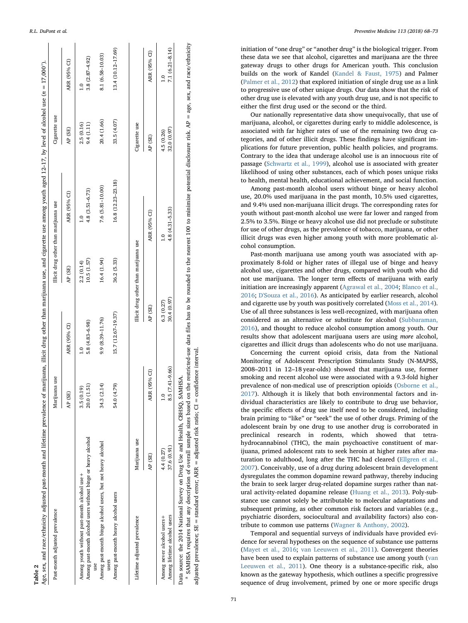<span id="page-3-0"></span>

| Age, sex, and race/ethnicity adjusted past-month and lifetime prevalence of marijuana, illicit drug other than marijuana use, and cigarette use among youth aged 12-17, by level of alcohol use (n = 17,000 <sup>a</sup> ).<br>Table 2 |                           |                                           |                                  |                                       |                                     |                           |                                     |
|----------------------------------------------------------------------------------------------------------------------------------------------------------------------------------------------------------------------------------------|---------------------------|-------------------------------------------|----------------------------------|---------------------------------------|-------------------------------------|---------------------------|-------------------------------------|
| Past-month adjusted prevalence                                                                                                                                                                                                         |                           | juana use<br>Mari                         |                                  | Illicit drug other than marijuana use |                                     | Cigarette use             |                                     |
|                                                                                                                                                                                                                                        |                           | SE)<br>$\frac{4}{5}$                      | ARR (95% CI)                     | AP (SE)                               | ARR (95% CI)                        | AP (SE)                   | ARR (95% CI)                        |
| Among past-month alcohol users without binge or heavy alcohol<br>Among youth without past-month alcohol use +                                                                                                                          |                           | 20.0 (1.51)<br>(0.19)<br>3.5 <sub>0</sub> | 5.8 (4.83-6.98)<br>$\frac{1}{1}$ | 10.5 (1.57)<br>2.2(0.14)              | $4.8(3.51 - 6.73)$<br>$\frac{1}{2}$ | 2.5 (0.16)<br>9.4 (1.11)  | $3.8(2.87 - 4.92)$<br>$\frac{1}{1}$ |
| Among past-month binge alcohol users, but not heavy alcohol                                                                                                                                                                            |                           | 34.3 (2.14)                               | 9.9 (8.39-11.76)                 | 16.4 (1.94)                           | 7.6 (5.81-10.00)                    | 20.4 (1.66)               | 8.1 (6.58-10.03)                    |
| Among past-month heavy alcohol users<br>users                                                                                                                                                                                          |                           | 54.0 (4.79)                               | 15.7 (12.67-19.37)               | 36.2 (5.33)                           | 16.8 (12.23-23.18)                  | 33.5 (4.07)               | 13.4 (10.12-17.69)                  |
| Lifetime adjusted prevalence                                                                                                                                                                                                           | Marijuana use             |                                           |                                  | Illicit drug other than marijuana use |                                     | Cigarette use             |                                     |
|                                                                                                                                                                                                                                        | AP (SE)                   | ARR (95% CI)                              | AP (SE)                          |                                       | ARR (95% CI)                        | AP (SE)                   | ARR (95% CI)                        |
| Among lifetime alcohol users<br>Among never alcohol users+                                                                                                                                                                             | 37.6 (0.91)<br>4.4 (0.27) | $.5(7.41 - 9.66)$<br>∞                    | 30.4 (0.97)<br>6.3(0.27)         |                                       | $4.8(4.31 - 5.33)$<br>$\frac{0}{1}$ | 32.0 (0.97)<br>4.5 (0.26) | $7.1(6.21 - 8.14)$<br>$\frac{0}{1}$ |
| Data source: the 2014 National Survey on Drug Use and Health, CBHSQ, SAMHSA.                                                                                                                                                           |                           |                                           |                                  |                                       |                                     |                           |                                     |

<span id="page-3-1"></span>a SAMHSA requires that any description of overall sample sizes based on the restricted-use data files has to be rounded to the nearest 100 to minimize potential disclosure risk. AP = age, sex, and race/ethnicity SAMHSA requires that any description of overall sample sizes based on the restricted-use data files has to be rounded to the nearest 100 to minimize potential disclosure risk. AP = age, sex, and race/ethnicity adjusted prevalence; SE = standard error; ARR = adjusted risk ratio; CI = confidence interval. adjusted prevalence; SE = standard error; ARR = adjusted risk ratio; CI = confidence interval

R.L. DuPont et al. *Preventive Medicine 113 (2018) 68–73*

initiation of "one drug " or "another drug " is the biological trigger. From these data we see that alcohol, cigarettes and marijuana are the three gateway drugs to other drugs for American youth. This conclusion builds on the work of Kandel [\(Kandel & Faust, 1975](#page-5-8)) and Palmer ([Palmer et al., 2012](#page-5-17)) that explored initiation of single drug use as a link to progressive use of other unique drugs. Our data show that the risk of other drug use is elevated with any youth drug use, and is not speci fic to either the first drug used or the second or the third.

Our nationally representative data show unequivocally, that use of marijuana, alcohol, or cigarettes during early to middle adolescence, is associated with far higher rates of use of the remaining two drug categories, and of other illicit drugs. These findings have significant implications for future prevention, public health policies, and programs. Contrary to the idea that underage alcohol use is an innocuous rite of passage [\(Schwartz et al., 1999\)](#page-5-34), alcohol use is associated with greater likelihood of using other substances, each of which poses unique risks to health, mental health, educational achievement, and social function.

Among past-month alcohol users without binge or heavy alcohol use, 20.0% used marijuana in the past month, 10.5% used cigarettes, and 9.4% used non-marijuana illicit drugs. The corresponding rates for youth without past-month alcohol use were far lower and ranged from 2.5% to 3.5%. Binge or heavy alcohol use did not preclude or substitute for use of other drugs, as the prevalence of tobacco, marijuana, or other illicit drugs was even higher among youth with more problematic alcohol consumption.

Past-month marijuana use among youth was associated with approximately 8-fold or higher rates of illegal use of binge and heavy alcohol use, cigarettes and other drugs, compared with youth who did not use marijuana. The longer term e ffects of marijuana with early initiation are increasingly apparent ([Agrawal et al., 2004](#page-5-35); [Blanco et al.,](#page-5-36) [2016](#page-5-36) ; [D'Souza et al., 2016](#page-5-37)). As anticipated by earlier research, alcohol and cigarette use by youth was positively correlated [\(Moss et al., 2014](#page-5-9)). Use of all three substances is less well-recognized, with marijuana often considered as an alternative or substitute for alcohol [\(Subbaraman,](#page-5-38) [2016\)](#page-5-38), and thought to reduce alcohol consumption among youth. Our results show that adolescent marijuana users are using more alcohol, cigarettes and illicit drugs than adolescents who do not use marijuana.

Concerning the current opioid crisis, data from the National Monitoring of Adolescent Prescription Stimulants Study (N-MAPSS, 2008 –2011 in 12 –18 year-olds) showed that marijuana use, former smoking and recent alcohol use were associated with a 9.3-fold higher prevalence of non-medical use of prescription opioids [\(Osborne et al.,](#page-5-39) [2017\)](#page-5-39). Although it is likely that both environmental factors and individual characteristics are likely to contribute to drug use behavior, the speci fic e ffects of drug use itself need to be considered, including brain priming to "like " or "seek " the use of other drugs. Priming of the adolescent brain by one drug to use another drug is corroborated in preclinical research in rodents, which showed that tetrahydrocannabinol (THC), the main psychoactive constituent of marijuana, primed adolescent rats to seek heroin at higher rates after maturation to adulthood, long after the THC had cleared ([Ellgren et al.,](#page-5-40) [2007\)](#page-5-40). Conceivably, use of a drug during adolescent brain development dysregulates the common dopamine reward pathway, thereby inducing the brain to seek larger drug-related dopamine surges rather than natural activity-related dopamine release ([Huang et al., 2013\)](#page-5-41). Poly-substance use cannot solely be attributable to molecular adaptations and subsequent priming, as other common risk factors and variables (e.g., psychiatric disorders, sociocultural and availability factors) also contribute to common use patterns [\(Wagner & Anthony, 2002\)](#page-5-42).

Temporal and sequential surveys of individuals have provided evidence for several hypotheses on the sequence of substance use patterns ([Mayet et al., 2016;](#page-5-43) [van Leeuwen et al., 2011\)](#page-5-44). Convergent theories have been used to explain patterns of substance use among youth ([van](#page-5-44) [Leeuwen et al., 2011](#page-5-44)). One theory is a substance-speci fic risk, also known as the gateway hypothesis, which outlines a speci fic progressive sequence of drug involvement, primed by one or more speci fic drugs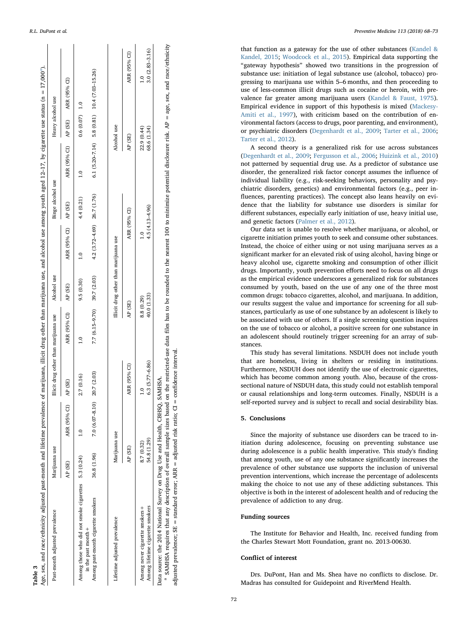<span id="page-4-0"></span>

| Age, sex, and race/ethnicity adjusted past-month and lifetime prevalence |                           |                 | of marijuana, illicit drug other than marijuana use, and alcohol use among youth aged $12-17$ , by cigarette use status (n = 17,000 <sup>a</sup> ). |                             |                                       |                                |                    |                                   |                            |                                                        |
|--------------------------------------------------------------------------|---------------------------|-----------------|-----------------------------------------------------------------------------------------------------------------------------------------------------|-----------------------------|---------------------------------------|--------------------------------|--------------------|-----------------------------------|----------------------------|--------------------------------------------------------|
| Past-month adjusted prevalence                                           | Marijuana use             |                 | Illicit drug other than marijuana use                                                                                                               |                             | Alcohol use                           |                                | Binge alcohol use  |                                   | Heavy alcohol use          |                                                        |
|                                                                          | AP (SE)                   | ARR (95% CI)    | AP (SE)                                                                                                                                             | ARR (95% CI) AP (SE)        |                                       | ARR (95% CI) AP (SE)           |                    | ARR (95% CI) AP (SE) ARR (95% CI) |                            |                                                        |
| Among those who did not smoke cigarettes 5.3 (0.24)                      |                           |                 | 2.7 (0.16)                                                                                                                                          |                             | 9.5(0.30)                             | $\frac{1}{1}$                  | 4.4 (0.21)         | $\frac{1}{1}$                     | $0.6(0.07)$ 1.0            |                                                        |
| Among past-month cigarette smokers<br>in the past month+                 | 36.8 (1.96)               | 7.0 (6.07-8.10) | 20.7 (2.03)                                                                                                                                         | 7.7 (6.15-9.70) 39.7 (2.03) |                                       | $4.2(3.72 - 4.69)$ 26.7 (1.76) |                    |                                   |                            | $6.1 (5.20 - 7.14)$ 5.8 $(0.81)$ 10.4 $(7.03 - 15.26)$ |
| Lifetime adjusted prevalence                                             | Marijuana use             |                 |                                                                                                                                                     |                             | Illicit drug other than marijuana use |                                |                    |                                   | Alcohol use                |                                                        |
|                                                                          | AP (SE)                   |                 | ARR (95% CI)                                                                                                                                        | AP (SE)                     |                                       | ARR (95% CI)                   |                    | AP (SE)                           |                            | ARR (95% CI)                                           |
| Among never cigarette smokers +<br>Among lifetime cigarette smokers      | 54.8 (1.29)<br>8.7 (0.32) |                 | $6.3(5.77 - 6.86)$                                                                                                                                  | 40.0 (1.33)<br>8.8 (0.29)   |                                       |                                | $4.5(4.13 - 4.96)$ |                                   | 22.9 (0.44)<br>68.6 (1.34) | $3.0(2.83 - 3.16)$<br>$\frac{0}{1}$                    |

Table 3

Data source: the 2014 National Survey on Drug Use and Health, CBHSQ, SAMHSA. Data source: the 2014 National Survey on Drug Use and Health, CBHSQ, SAMHSA.

<span id="page-4-1"></span><sup>a</sup> SAMHSA requires that any description of overall sample sizes based on the restricted-use data files has to be rounded to the nearest 100 to minimize potential disclosure risk. AP = age, sex, and race/ethnicity SAMHSA requires that any description of overall sample sizes based on the restricted-use data files has to be rounded to the nearest 100 to minimize potential disclosure risk. AP = age, sex, and race/ethnicity adjusted prevalence;  $SE = standard$  error;  $ARR =$  adjusted risk ratio;  $CI =$  confidence interval

adjusted prevalence; SE = standard error; ARR = adjusted risk ratio; CI = confidence interval.

R.L. DuPont et al. *Preventive Medicine 113 (2018) 68–73*

that function as a gateway for the use of other substances [\(Kandel &](#page-5-45) [Kandel, 2015](#page-5-45) ; [Woodcock et al., 2015](#page-5-46)). Empirical data supporting the "gateway hypothesis " showed two transitions in the progression of substance use: initiation of legal substance use (alcohol, tobacco) progressing to marijuana use within 5–6 months, and then proceeding to use of less-common illicit drugs such as cocaine or heroin, with prevalence far greater among marijuana users ([Kandel & Faust, 1975](#page-5-8)). Empirical evidence in support of this hypothesis is mixed ([Mackesy-](#page-5-15)[Amiti et al., 1997](#page-5-15)), with criticism based on the contribution of environmental factors (access to drugs, poor parenting, and environment), or psychiatric disorders [\(Degenhardt et al., 2009](#page-5-12); [Tarter et al., 2006](#page-5-47); [Tarter et al., 2012\)](#page-5-48).

A second theory is a generalized risk for use across substances ([Degenhardt et al., 2009](#page-5-12) ; [Fergusson et al., 2006](#page-5-13) ; [Huizink et al., 2010](#page-5-14) ) not patterned by sequential drug use. As a predictor of substance use disorder, the generalized risk factor concept assumes the in fluence of individual liability (e.g., risk-seeking behaviors, personality and psychiatric disorders, genetics) and environmental factors (e.g., peer in fluences, parenting practices). The concept also leans heavily on evidence that the liability for substance use disorders is similar for di fferent substances, especially early initiation of use, heavy initial use, and genetic factors ([Palmer et al., 2012\)](#page-5-17).

Our data set is unable to resolve whether marijuana, or alcohol, or cigarette initiation primes youth to seek and consume other substances. Instead, the choice of either using or not using marijuana serves as a signi ficant marker for an elevated risk of using alcohol, having binge or heavy alcohol use, cigarette smoking and consumption of other illicit drugs. Importantly, youth prevention e fforts need to focus on all drugs as the empirical evidence underscores a generalized risk for substances consumed by youth, based on the use of any one of the three most common drugs: tobacco cigarettes, alcohol, and marijuana. In addition, our results suggest the value and importance for screening for all substances, particularly as use of one substance by an adolescent is likely to be associated with use of others. If a single screening question inquires on the use of tobacco or alcohol, a positive screen for one substance in an adolescent should routinely trigger screening for an array of substances.

This study has several limitations. NSDUH does not include youth that are homeless, living in shelters or residing in institutions. Furthermore, NSDUH does not identify the use of electronic cigarettes, which has become common among youth. Also, because of the crosssectional nature of NSDUH data, this study could not establish temporal or causal relationships and long-term outcomes. Finally, NSDUH is a self-reported survey and is subject to recall and social desirability bias.

## 5. Conclusions

Since the majority of substance use disorders can be traced to initiation during adolescence, focusing on preventing substance use during adolescence is a public health imperative. This study's finding that among youth, use of any one substance signi ficantly increases the prevalence of other substance use supports the inclusion of universal prevention interventions, which increase the percentage of adolescents making the choice to not use any of these addicting substances. This objective is both in the interest of adolescent health and of reducing the prevalence of addiction to any drug.

## Funding sources

The Institute for Behavior and Health, Inc. received funding from the Charles Stewart Mott Foundation, grant no. 2013-00630.

# Con flict of interest

Drs. DuPont, Han and Ms. Shea have no con flicts to disclose. Dr. Madras has consulted for Guidepoint and RiverMend Health.